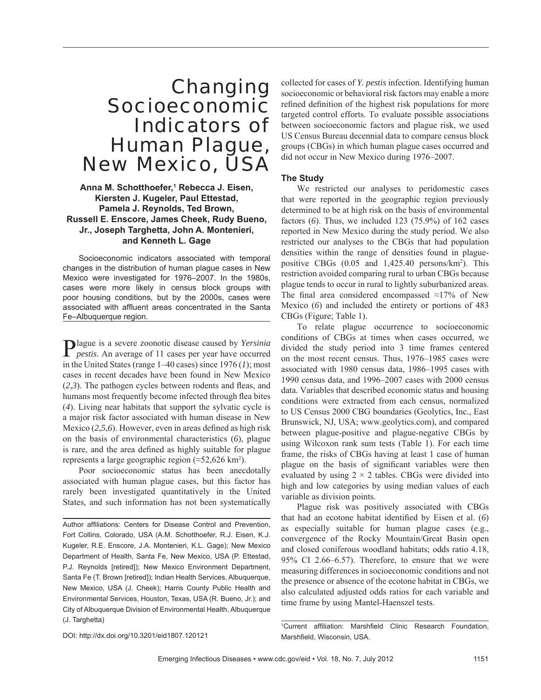# Changing Socioeconomic Indicators of Human Plague, New Mexico, USA

## **Anna M. Schotthoefer,1 Rebecca J. Eisen, Kiersten J. Kugeler, Paul Ettestad, Pamela J. Reynolds, Ted Brown, Russell E. Enscore, James Cheek, Rudy Bueno, Jr., Joseph Targhetta, John A. Montenieri, and Kenneth L. Gage**

Socioeconomic indicators associated with temporal changes in the distribution of human plague cases in New Mexico were investigated for 1976–2007. In the 1980s, cases were more likely in census block groups with poor housing conditions, but by the 2000s, cases were associated with affluent areas concentrated in the Santa Fe–Albuquerque region.

Plague is a severe zoonotic disease caused by *Yersinia pestis*. An average of 11 cases per year have occurred in the United States (range 1–40 cases) since 1976 (*1*); most cases in recent decades have been found in New Mexico  $(2,3)$ . The pathogen cycles between rodents and fleas, and humans most frequently become infected through flea bites (*4*). Living near habitats that support the sylvatic cycle is a major risk factor associated with human disease in New Mexico  $(2,5,6)$ . However, even in areas defined as high risk on the basis of environmental characteristics (*6*), plague is rare, and the area defined as highly suitable for plague represents a large geographic region  $(\approx 52,626 \text{ km}^2)$ .

Poor socioeconomic status has been anecdotally associated with human plague cases, but this factor has rarely been investigated quantitatively in the United States, and such information has not been systematically

collected for cases of *Y. pestis* infection. Identifying human socioeconomic or behavioral risk factors may enable a more refined definition of the highest risk populations for more targeted control efforts. To evaluate possible associations between socioeconomic factors and plague risk, we used US Census Bureau decennial data to compare census block groups (CBGs) in which human plague cases occurred and did not occur in New Mexico during 1976–2007.

## **The Study**

We restricted our analyses to peridomestic cases that were reported in the geographic region previously determined to be at high risk on the basis of environmental factors (*6*). Thus, we included 123 (75.9%) of 162 cases reported in New Mexico during the study period. We also restricted our analyses to the CBGs that had population densities within the range of densities found in plaguepositive CBGs  $(0.05 \text{ and } 1,425.40 \text{ persons/km}^2)$ . This restriction avoided comparing rural to urban CBGs because plague tends to occur in rural to lightly suburbanized areas. The final area considered encompassed ≈17% of New Mexico (*6*) and included the entirety or portions of 483 CBGs (Figure; Table 1).

To relate plague occurrence to socioeconomic conditions of CBGs at times when cases occurred, we divided the study period into 3 time frames centered on the most recent census. Thus, 1976–1985 cases were associated with 1980 census data, 1986–1995 cases with 1990 census data, and 1996–2007 cases with 2000 census data. Variables that described economic status and housing conditions were extracted from each census, normalized to US Census 2000 CBG boundaries (Geolytics, Inc., East Brunswick, NJ, USA; www.geolytics.com), and compared between plague-positive and plague-negative CBGs by using Wilcoxon rank sum tests (Table 1). For each time frame, the risks of CBGs having at least 1 case of human plague on the basis of significant variables were then evaluated by using  $2 \times 2$  tables. CBGs were divided into high and low categories by using median values of each variable as division points.

Plague risk was positively associated with CBGs that had an ecotone habitat identified by Eisen et al. (6) as especially suitable for human plague cases (e.g., convergence of the Rocky Mountain/Great Basin open and closed coniferous woodland habitats; odds ratio 4.18, 95% CI 2.66–6.57). Therefore, to ensure that we were measuring differences in socioeconomic conditions and not the presence or absence of the ecotone habitat in CBGs, we also calculated adjusted odds ratios for each variable and time frame by using Mantel-Haenszel tests.

DOI: http://dx.doi.org/10.3201/eid1807.120121

<sup>1</sup>Current affiliation: Marshfield Clinic Research Foundation, Marshfield, Wisconsin, USA.

Author affiliations: Centers for Disease Control and Prevention, Fort Collins, Colorado, USA (A.M. Schotthoefer, R.J. Eisen, K.J. Kugeler, R.E. Enscore, J.A. Montenieri, K.L. Gage); New Mexico Department of Health, Santa Fe, New Mexico, USA (P. Ettestad, P.J. Reynolds [retired]); New Mexico Environment Department, Santa Fe (T. Brown [retired]); Indian Health Services, Albuquerque, New Mexico, USA (J. Cheek); Harris County Public Health and Environmental Services, Houston, Texas, USA (R. Bueno, Jr.); and City of Albuquerque Division of Environmental Health, Albuquerque (J. Targhetta)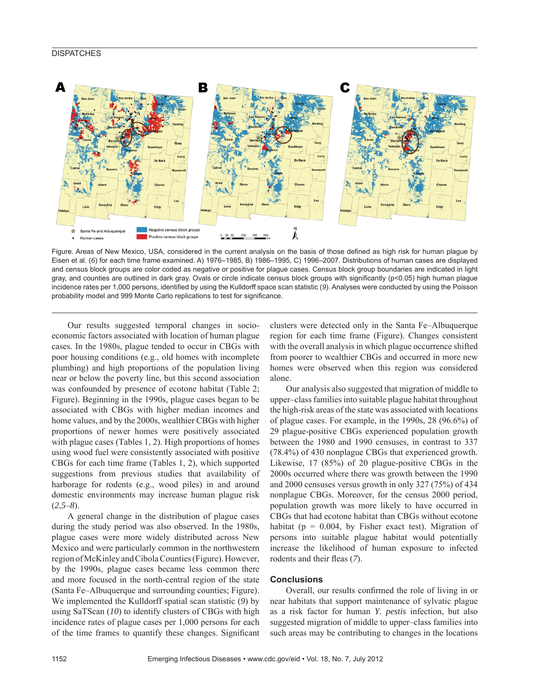#### **DISPATCHES**



Figure. Areas of New Mexico, USA, considered in the current analysis on the basis of those defined as high risk for human plague by Eisen et al. (*6*) for each time frame examined. A) 1976–1985, B) 1986–1995, C) 1996–2007. Distributions of human cases are displayed and census block groups are color coded as negative or positive for plague cases. Census block group boundaries are indicated in light gray, and counties are outlined in dark gray. Ovals or circle indicate census block groups with significantly ( $p$ <0.05) high human plague incidence rates per 1,000 persons, identified by using the Kulldorff space scan statistic (9). Analyses were conducted by using the Poisson probability model and 999 Monte Carlo replications to test for significance.

Our results suggested temporal changes in socioeconomic factors associated with location of human plague cases. In the 1980s, plague tended to occur in CBGs with poor housing conditions (e.g., old homes with incomplete plumbing) and high proportions of the population living near or below the poverty line, but this second association was confounded by presence of ecotone habitat (Table 2; Figure). Beginning in the 1990s, plague cases began to be associated with CBGs with higher median incomes and home values, and by the 2000s, wealthier CBGs with higher proportions of newer homes were positively associated with plague cases (Tables 1, 2). High proportions of homes using wood fuel were consistently associated with positive CBGs for each time frame (Tables 1, 2), which supported suggestions from previous studies that availability of harborage for rodents (e.g., wood piles) in and around domestic environments may increase human plague risk  $(2,5-8)$ .

A general change in the distribution of plague cases during the study period was also observed. In the 1980s, plague cases were more widely distributed across New Mexico and were particularly common in the northwestern region of McKinley and Cibola Counties (Figure). However, by the 1990s, plague cases became less common there and more focused in the north-central region of the state (Santa Fe–Albuquerque and surrounding counties; Figure). We implemented the Kulldorff spatial scan statistic (*9*) by using SaTScan (*10*) to identify clusters of CBGs with high incidence rates of plague cases per 1,000 persons for each of the time frames to quantify these changes. Significant

clusters were detected only in the Santa Fe–Albuquerque region for each time frame (Figure). Changes consistent with the overall analysis in which plague occurrence shifted from poorer to wealthier CBGs and occurred in more new homes were observed when this region was considered alone.

Our analysis also suggested that migration of middle to upper–class families into suitable plague habitat throughout the high-risk areas of the state was associated with locations of plague cases. For example, in the 1990s, 28 (96.6%) of 29 plague-positive CBGs experienced population growth between the 1980 and 1990 censuses, in contrast to 337 (78.4%) of 430 nonplague CBGs that experienced growth. Likewise, 17 (85%) of 20 plague-positive CBGs in the 2000s occurred where there was growth between the 1990 and 2000 censuses versus growth in only 327 (75%) of 434 nonplague CBGs. Moreover, for the census 2000 period, population growth was more likely to have occurred in CBGs that had ecotone habitat than CBGs without ecotone habitat ( $p = 0.004$ , by Fisher exact test). Migration of persons into suitable plague habitat would potentially increase the likelihood of human exposure to infected rodents and their fleas (7).

#### **Conclusions**

Overall, our results confirmed the role of living in or near habitats that support maintenance of sylvatic plague as a risk factor for human *Y. pestis* infection, but also suggested migration of middle to upper–class families into such areas may be contributing to changes in the locations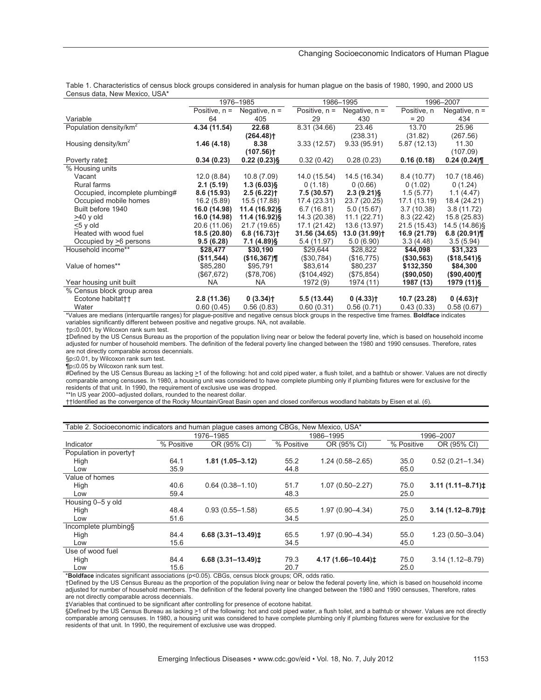| Census data, New Mexico, USA*      |                 |                         |                 |                            |              |                        |  |  |  |  |
|------------------------------------|-----------------|-------------------------|-----------------|----------------------------|--------------|------------------------|--|--|--|--|
|                                    | 1976-1985       |                         | 1986-1995       |                            | 1996-2007    |                        |  |  |  |  |
|                                    | Positive, $n =$ | Negative, $n =$         | Positive, $n =$ | Negative, $n =$            | Positive, n  | Negative, $n =$        |  |  |  |  |
| Variable                           | 64              | 405                     | 29              | 430                        | $= 20$       | 434                    |  |  |  |  |
| Population density/km <sup>2</sup> | 4.34 (11.54)    | 22.68                   | 8.31 (34.66)    | 23.46                      | 13.70        | 25.96                  |  |  |  |  |
|                                    |                 | $(264.48)$ <sup>+</sup> |                 | (238.31)                   | (31.82)      | (267.56)               |  |  |  |  |
| Housing density/km <sup>2</sup>    | 1.46(4.18)      | 8.38                    | 3.33(12.57)     | 9.33(95.91)                | 5.87 (12.13) | 11.30                  |  |  |  |  |
|                                    |                 | $(107.56)$ <sup>+</sup> |                 |                            |              | (107.09)               |  |  |  |  |
| Poverty rate#                      | 0.34(0.23)      | $0.22(0.23)$ §          | 0.32(0.42)      | 0.28(0.23)                 | 0.16(0.18)   | 0.24(0.24)             |  |  |  |  |
| % Housing units                    |                 |                         |                 |                            |              |                        |  |  |  |  |
| Vacant                             | 12.0 (8.84)     | 10.8(7.09)              | 14.0 (15.54)    | 14.5 (16.34)               | 8.4 (10.77)  | 10.7 (18.46)           |  |  |  |  |
| Rural farms                        | 2.1(5.19)       | $1.3(6.03)$ §           | 0(1.18)         | 0(0.66)                    | 0(1.02)      | 0(1.24)                |  |  |  |  |
| Occupied, incomplete plumbing#     | 8.6(15.93)      | 2.5(6.22)               | 7.5 (30.57)     | $2.3(9.21)\$               | 1.5(5.77)    | 1.1(4.47)              |  |  |  |  |
| Occupied mobile homes              | 16.2(5.89)      | 15.5 (17.88)            | 17.4 (23.31)    | 23.7 (20.25)               | 17.1 (13.19) | 18.4 (24.21)           |  |  |  |  |
| Built before 1940                  | 16.0 (14.98)    | 11.4 (16.92)§           | 6.7(16.81)      | 5.0(15.67)                 | 3.7(10.38)   | 3.8(11.72)             |  |  |  |  |
| $>40$ y old                        | 16.0 (14.98)    | 11.4 (16.92)§           | 14.3 (20.38)    | 11.1(22.71)                | 8.3(22.42)   | 15.8 (25.83)           |  |  |  |  |
| $\leq$ 5 y old                     | 20.6 (11.06)    | 21.7 (19.65)            | 17.1 (21.42)    | 13.6 (13.97)               | 21.5 (15.43) | 14.5 (14.86)§          |  |  |  |  |
| Heated with wood fuel              | 18.5 (20.80)    | 6.8(16.73)              | 31.56 (34.65)   | $13.0(31.99)$ <sup>+</sup> | 16.9 (21.79) | 6.8(20.91)             |  |  |  |  |
| Occupied by >6 persons             | 9.5(6.28)       | $7.1(4.89)$ §           | 5.4 (11.97)     | 5.0(6.90)                  | 3.3(4.48)    | 3.5(5.94)              |  |  |  |  |
| Household income**                 | \$28,477        | \$30,190                | \$29,644        | \$28,822                   | \$44,098     | \$31,323               |  |  |  |  |
|                                    | (\$11,544)      | (\$16,367)              | (\$30,784)      | (\$16,775)                 | (\$30,563)   | (\$18,541)             |  |  |  |  |
| Value of homes**                   | \$85,280        | \$95,791                | \$83,614        | \$80,237                   | \$132,350    | \$84,300               |  |  |  |  |
|                                    | (\$67, 672)     | (\$78,706)              | (\$104,492)     | (\$75,854)                 | (\$90,050)   | (\$90,400)             |  |  |  |  |
| Year housing unit built            | <b>NA</b>       | NA.                     | 1972 (9)        | 1974 (11)                  | 1987 (13)    | 1979 (11)§             |  |  |  |  |
| % Census block group area          |                 |                         |                 |                            |              |                        |  |  |  |  |
| Ecotone habitat <sup>++</sup>      | 2.8(11.36)      | 0(3.34)                 | 5.5 (13.44)     | 0(4.33)                    | 10.7 (23.28) | $0(4.63)$ <sup>+</sup> |  |  |  |  |
| Water                              | 0.60(0.45)      | 0.56(0.83)              | 0.60(0.31)      | 0.56(0.71)                 | 0.43(0.33)   | 0.58(0.67)             |  |  |  |  |

Table 1. Characteristics of census block groups considered in analysis for human plague on the basis of 1980, 1990, and 2000 US Census data, New Mexico, USA\*

\*Values are medians (interquartile ranges) for plague-positive and negative census block groups in the respective time frames. **Boldface** indicates variables significantly different between positive and negative groups. NA, not available.

 $tp \le 0.001$ , by Wilcoxon rank sum test.

‡Defined by the US Census Bureau as the proportion of the population living near or below the federal poverty line, which is based on household income adjusted for number of household members. The definition of the federal poverty line changed between the 1980 and 1990 censuses. Therefore, rates are not directly comparable across decennials.

§p≤0.01, by Wilcoxon rank sum test.

 $\P$ p $\leq$ 0.05 by Wilcoxon rank sum test.

#Defined by the US Census Bureau as lacking >1 of the following: hot and cold piped water, a flush toilet, and a bathtub or shower. Values are not directly comparable among censuses. In 1980, a housing unit was considered to have complete plumbing only if plumbing fixtures were for exclusive for the residents of that unit. In 1990, the requirement of exclusive use was dropped.

\*\*In US year 2000–adjusted dollars, rounded to the nearest dollar.

††Identified as the convergence of the Rocky Mountain/Great Basin open and closed coniferous woodland habitats by Eisen et al. (*6*).

| Table 2. Socioeconomic indicators and human plague cases among CBGs, New Mexico, USA* |            |                                   |            |                              |            |                                  |  |  |  |  |
|---------------------------------------------------------------------------------------|------------|-----------------------------------|------------|------------------------------|------------|----------------------------------|--|--|--|--|
|                                                                                       | 1976-1985  |                                   |            | 1986-1995                    | 1996-2007  |                                  |  |  |  |  |
| Indicator                                                                             | % Positive | OR (95% CI)                       | % Positive | OR (95% CI)                  | % Positive | OR (95% CI)                      |  |  |  |  |
| Population in poverty†                                                                |            |                                   |            |                              |            |                                  |  |  |  |  |
| High                                                                                  | 64.1       | $1.81(1.05 - 3.12)$               | 55.2       | $1.24(0.58 - 2.65)$          | 35.0       | $0.52(0.21 - 1.34)$              |  |  |  |  |
| Low                                                                                   | 35.9       |                                   | 44.8       |                              | 65.0       |                                  |  |  |  |  |
| Value of homes                                                                        |            |                                   |            |                              |            |                                  |  |  |  |  |
| High                                                                                  | 40.6       | $0.64(0.38 - 1.10)$               | 51.7       | $1.07(0.50 - 2.27)$          | 75.0       | $3.11(1.11 - 8.71)$              |  |  |  |  |
| Low                                                                                   | 59.4       |                                   | 48.3       |                              | 25.0       |                                  |  |  |  |  |
| Housing 0-5 y old                                                                     |            |                                   |            |                              |            |                                  |  |  |  |  |
| High                                                                                  | 48.4       | $0.93(0.55 - 1.58)$               | 65.5       | $1.97(0.90 - 4.34)$          | 75.0       | $3.14(1.12 - 8.79)$ <sup>±</sup> |  |  |  |  |
| Low                                                                                   | 51.6       |                                   | 34.5       |                              | 25.0       |                                  |  |  |  |  |
| Incomplete plumbing§                                                                  |            |                                   |            |                              |            |                                  |  |  |  |  |
| High                                                                                  | 84.4       | $6.68(3.31 - 13.49)$ <sup>±</sup> | 65.5       | 1.97 (0.90-4.34)             | 55.0       | $1.23(0.50 - 3.04)$              |  |  |  |  |
| Low                                                                                   | 15.6       |                                   | 34.5       |                              | 45.0       |                                  |  |  |  |  |
| Use of wood fuel                                                                      |            |                                   |            |                              |            |                                  |  |  |  |  |
| High                                                                                  | 84.4       | $6.68(3.31 - 13.49)$ <sup>±</sup> | 79.3       | 4.17 (1.66-10.44) $\ddagger$ | 75.0       | $3.14(1.12 - 8.79)$              |  |  |  |  |
| Low                                                                                   | 15.6       |                                   | 20.7       |                              | 25.0       |                                  |  |  |  |  |

\***Boldface** indicates significant associations (p<0.05). CBGs, census block groups; OR, odds ratio.

†Defined by the US Census Bureau as the proportion of the population living near or below the federal poverty line, which is based on household income adjusted for number of household members. The definition of the federal poverty line changed between the 1980 and 1990 censuses, Therefore, rates are not directly comparable across decennials.

‡Variables that continued to be significant after controlling for presence of ecotone habitat.

§Defined by the US Census Bureau as lacking >1 of the following: hot and cold piped water, a flush toilet, and a bathtub or shower. Values are not directly comparable among censuses. In 1980, a housing unit was considered to have complete plumbing only if plumbing fixtures were for exclusive for the residents of that unit. In 1990, the requirement of exclusive use was dropped.